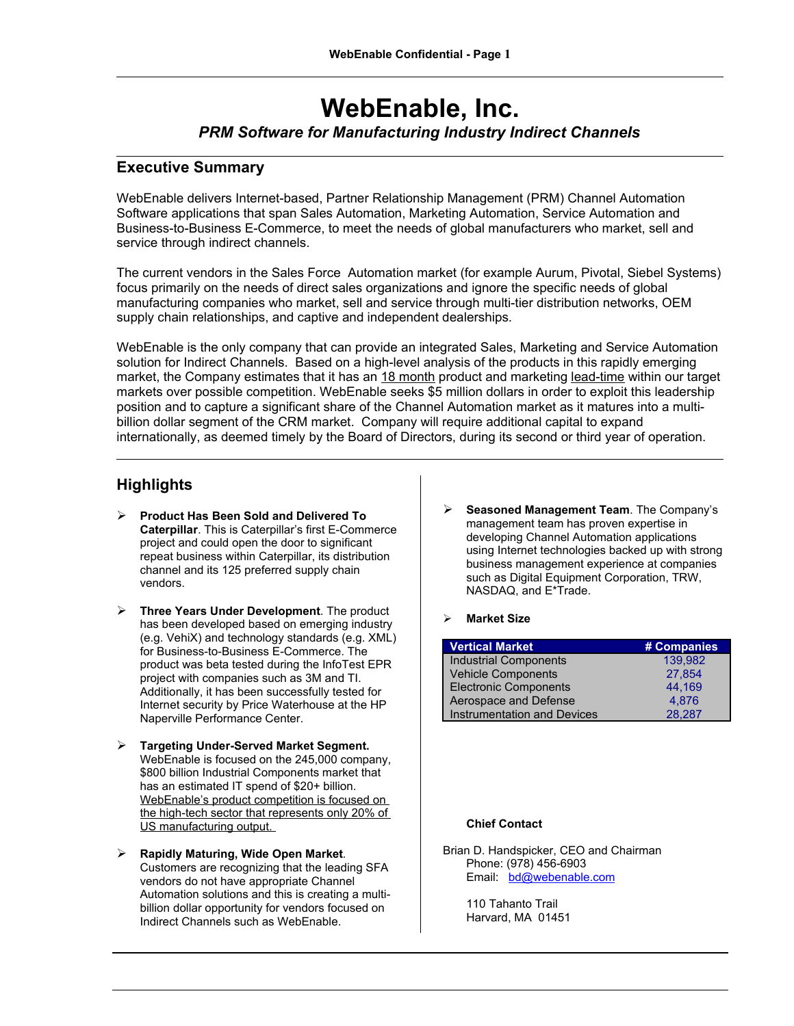# **WebEnable, Inc.** *PRM Software for Manufacturing Industry Indirect Channels*

## **Executive Summary**

WebEnable delivers Internet-based, Partner Relationship Management (PRM) Channel Automation Software applications that span Sales Automation, Marketing Automation, Service Automation and Business-to-Business E-Commerce, to meet the needs of global manufacturers who market, sell and service through indirect channels.

The current vendors in the Sales Force Automation market (for example Aurum, Pivotal, Siebel Systems) focus primarily on the needs of direct sales organizations and ignore the specific needs of global manufacturing companies who market, sell and service through multi-tier distribution networks, OEM supply chain relationships, and captive and independent dealerships.

WebEnable is the only company that can provide an integrated Sales, Marketing and Service Automation solution for Indirect Channels. Based on a high-level analysis of the products in this rapidly emerging market, the Company estimates that it has an 18 month product and marketing lead-time within our target markets over possible competition. WebEnable seeks \$5 million dollars in order to exploit this leadership position and to capture a significant share of the Channel Automation market as it matures into a multibillion dollar segment of the CRM market. Company will require additional capital to expand internationally, as deemed timely by the Board of Directors, during its second or third year of operation.

# **Highlights**

- **Product Has Been Sold and Delivered To Caterpillar**. This is Caterpillar's first E-Commerce project and could open the door to significant repeat business within Caterpillar, its distribution channel and its 125 preferred supply chain vendors.
- **Three Years Under Development**. The product has been developed based on emerging industry (e.g. VehiX) and technology standards (e.g. XML) for Business-to-Business E-Commerce. The product was beta tested during the InfoTest EPR project with companies such as 3M and TI. Additionally, it has been successfully tested for Internet security by Price Waterhouse at the HP Naperville Performance Center.
- **Targeting Under-Served Market Segment.** WebEnable is focused on the 245,000 company, \$800 billion Industrial Components market that has an estimated IT spend of \$20+ billion. WebEnable's product competition is focused on the high-tech sector that represents only 20% of US manufacturing output.
- **Rapidly Maturing, Wide Open Market***.* Customers are recognizing that the leading SFA vendors do not have appropriate Channel Automation solutions and this is creating a multibillion dollar opportunity for vendors focused on Indirect Channels such as WebEnable.

 **Seasoned Management Team**. The Company's management team has proven expertise in developing Channel Automation applications using Internet technologies backed up with strong business management experience at companies such as Digital Equipment Corporation, TRW, NASDAQ, and E\*Trade.

#### **Market Size**

| <b>Vertical Market</b>             | # Companies |
|------------------------------------|-------------|
| <b>Industrial Components</b>       | 139.982     |
| <b>Vehicle Components</b>          | 27,854      |
| <b>Electronic Components</b>       | 44,169      |
| Aerospace and Defense              | 4.876       |
| <b>Instrumentation and Devices</b> | 28.287      |

#### **Chief Contact**

Brian D. Handspicker, CEO and Chairman Phone: (978) 456-6903 Email: [bd@webenable.com](mailto:bd@webenable.com)

> 110 Tahanto Trail Harvard, MA 01451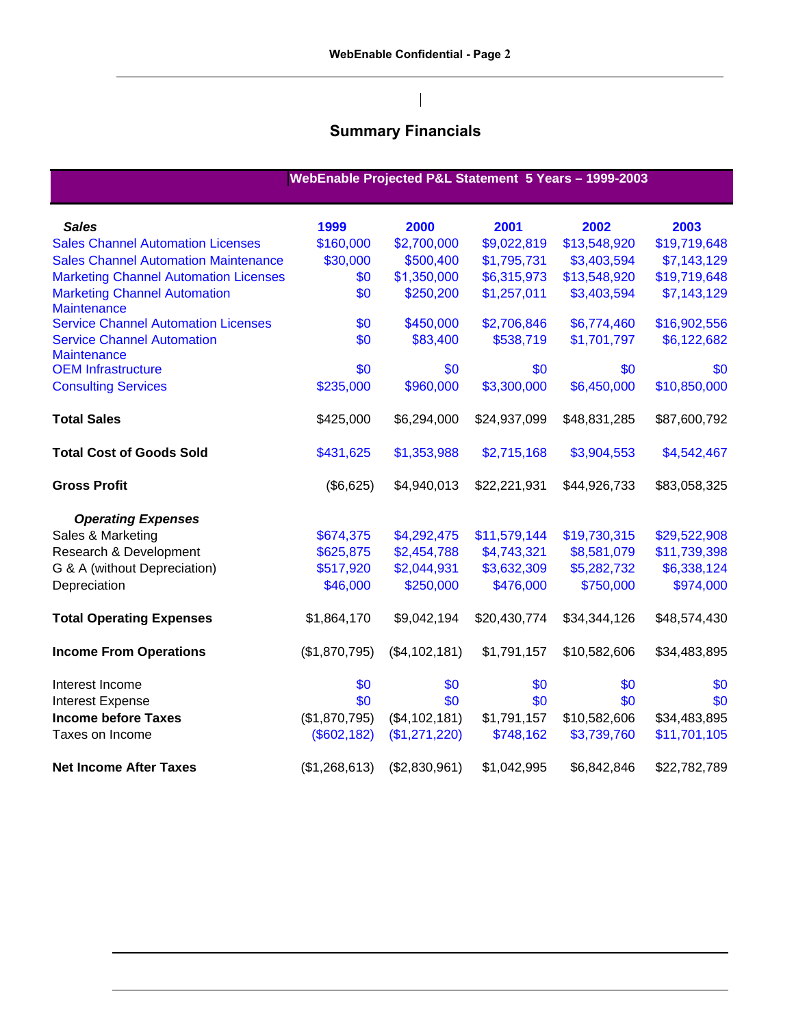$\begin{array}{c} \hline \end{array}$ 

# **Summary Financials**

|                                                           |               |               |              | WebEnable Projected P&L Statement 5 Years - 1999-2003 |              |
|-----------------------------------------------------------|---------------|---------------|--------------|-------------------------------------------------------|--------------|
| <b>Sales</b>                                              | 1999          | 2000          | 2001         | 2002                                                  | 2003         |
| <b>Sales Channel Automation Licenses</b>                  | \$160,000     | \$2,700,000   | \$9,022,819  | \$13,548,920                                          | \$19,719,648 |
| <b>Sales Channel Automation Maintenance</b>               | \$30,000      | \$500,400     | \$1,795,731  | \$3,403,594                                           | \$7,143,129  |
| <b>Marketing Channel Automation Licenses</b>              | \$0           | \$1,350,000   | \$6,315,973  | \$13,548,920                                          | \$19,719,648 |
| <b>Marketing Channel Automation</b><br><b>Maintenance</b> | \$0           | \$250,200     | \$1,257,011  | \$3,403,594                                           | \$7,143,129  |
| <b>Service Channel Automation Licenses</b>                | \$0           | \$450,000     | \$2,706,846  | \$6,774,460                                           | \$16,902,556 |
| <b>Service Channel Automation</b><br><b>Maintenance</b>   | \$0           | \$83,400      | \$538,719    | \$1,701,797                                           | \$6,122,682  |
| <b>OEM Infrastructure</b>                                 | \$0           | \$0           | \$0          | \$0                                                   | \$0          |
| <b>Consulting Services</b>                                | \$235,000     | \$960,000     | \$3,300,000  | \$6,450,000                                           | \$10,850,000 |
| <b>Total Sales</b>                                        | \$425,000     | \$6,294,000   | \$24,937,099 | \$48,831,285                                          | \$87,600,792 |
| <b>Total Cost of Goods Sold</b>                           | \$431,625     | \$1,353,988   | \$2,715,168  | \$3,904,553                                           | \$4,542,467  |
| <b>Gross Profit</b>                                       | (\$6,625)     | \$4,940,013   | \$22,221,931 | \$44,926,733                                          | \$83,058,325 |
| <b>Operating Expenses</b>                                 |               |               |              |                                                       |              |
| Sales & Marketing                                         | \$674,375     | \$4,292,475   | \$11,579,144 | \$19,730,315                                          | \$29,522,908 |
| Research & Development                                    | \$625,875     | \$2,454,788   | \$4,743,321  | \$8,581,079                                           | \$11,739,398 |
| G & A (without Depreciation)                              | \$517,920     | \$2,044,931   | \$3,632,309  | \$5,282,732                                           | \$6,338,124  |
| Depreciation                                              | \$46,000      | \$250,000     | \$476,000    | \$750,000                                             | \$974,000    |
| <b>Total Operating Expenses</b>                           | \$1,864,170   | \$9,042,194   | \$20,430,774 | \$34,344,126                                          | \$48,574,430 |
| <b>Income From Operations</b>                             | (\$1,870,795) | (\$4,102,181) | \$1,791,157  | \$10,582,606                                          | \$34,483,895 |
| Interest Income                                           | \$0           | \$0           | \$0          | \$0                                                   | \$0          |
| <b>Interest Expense</b>                                   | \$0           | \$0           | \$0          | \$0                                                   | \$0          |
| <b>Income before Taxes</b>                                | (\$1,870,795) | (\$4,102,181) | \$1,791,157  | \$10,582,606                                          | \$34,483,895 |
| Taxes on Income                                           | (\$602, 182)  | (\$1,271,220) | \$748,162    | \$3,739,760                                           | \$11,701,105 |
| <b>Net Income After Taxes</b>                             | (\$1,268,613) | (\$2,830,961) | \$1,042,995  | \$6,842,846                                           | \$22,782,789 |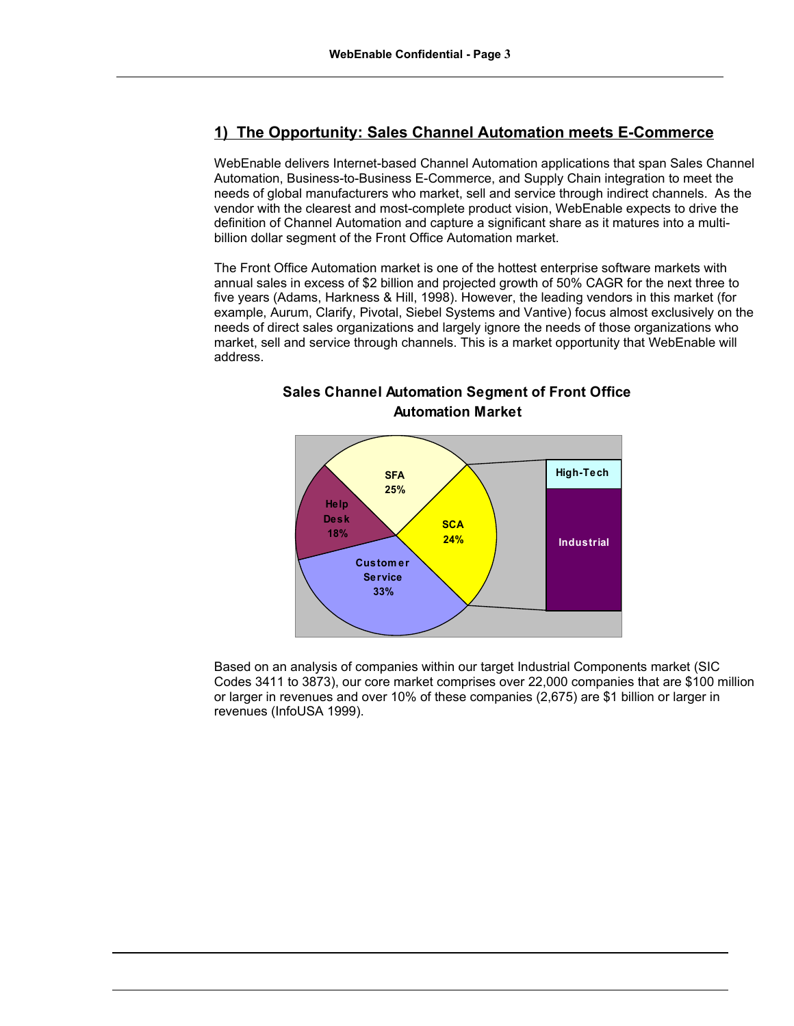# **1) The Opportunity: Sales Channel Automation meets E-Commerce**

WebEnable delivers Internet-based Channel Automation applications that span Sales Channel Automation, Business-to-Business E-Commerce, and Supply Chain integration to meet the needs of global manufacturers who market, sell and service through indirect channels. As the vendor with the clearest and most-complete product vision, WebEnable expects to drive the definition of Channel Automation and capture a significant share as it matures into a multibillion dollar segment of the Front Office Automation market.

The Front Office Automation market is one of the hottest enterprise software markets with annual sales in excess of \$2 billion and projected growth of 50% CAGR for the next three to five years (Adams, Harkness & Hill, 1998). However, the leading vendors in this market (for example, Aurum, Clarify, Pivotal, Siebel Systems and Vantive) focus almost exclusively on the needs of direct sales organizations and largely ignore the needs of those organizations who market, sell and service through channels. This is a market opportunity that WebEnable will address.



# **Sales Channel Automation Segment of Front Office Automation Market**

Based on an analysis of companies within our target Industrial Components market (SIC Codes 3411 to 3873), our core market comprises over 22,000 companies that are \$100 million or larger in revenues and over 10% of these companies (2,675) are \$1 billion or larger in revenues (InfoUSA 1999).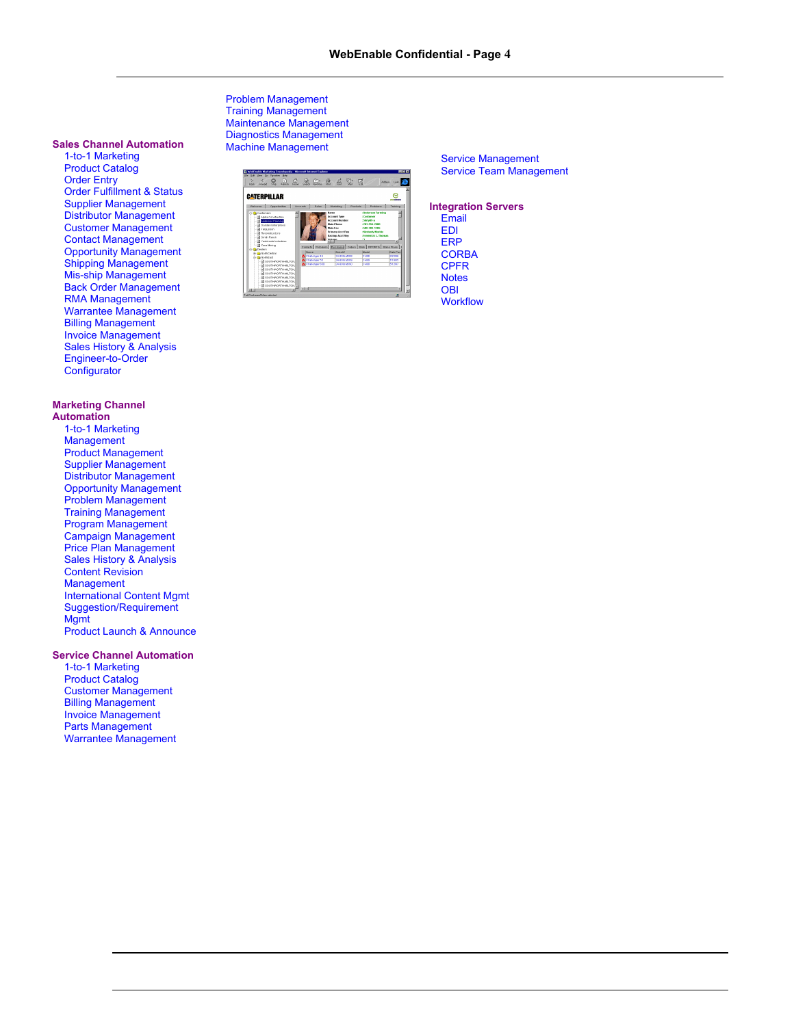#### **Sales Channel Automation**

1-to-1 Marketing Product Catalog Order Entry Order Fulfillment & Status Supplier Management Distributor Management Customer Management Contact Management Opportunity Management Shipping Management Mis-ship Management Back Order Management RMA Management Warrantee Management Billing Management Invoice Management Sales History & Analysis Engineer-to-Order **Configurator** 

#### **Marketing Channel Automation**

1-to-1 Marketing Management Product Management Supplier Management Distributor Management Opportunity Management Problem Management Training Management Program Management Campaign Management Price Plan Management Sales History & Analysis Content Revision Management International Content Mgmt Suggestion/Requirement **Mgmt** Product Launch & Announce

**Service Channel Automation**

1-to-1 Marketing Product Catalog Customer Management Billing Management Invoice Management Parts Management Warrantee Management Problem Management Training Management Maintenance Management Diagnostics Management Machine Management



Service Management Service Team Management

#### **Integration Servers**

Email EDI ERP **CORBA** CPFR **Notes OBI Workflow**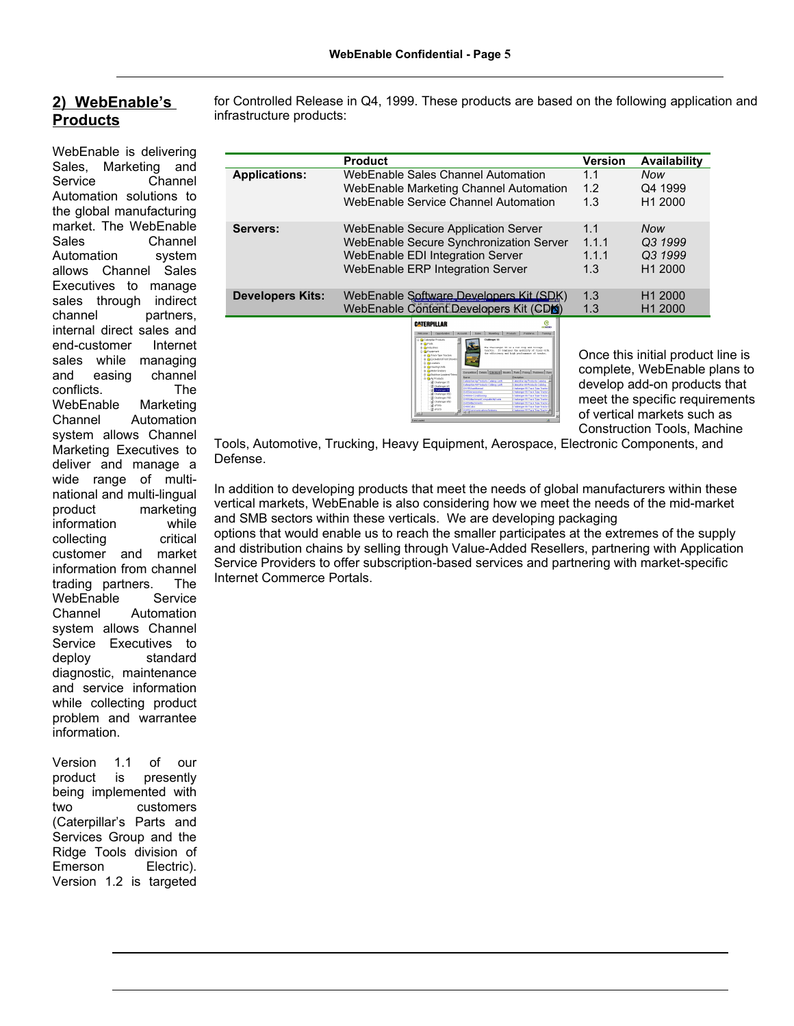# **2) WebEnable's Products**

WebEnable is delivering Sales, Marketing and Service Channel Automation solutions to the global manufacturing market. The WebEnable Sales Channel Automation system allows Channel Sales Executives to manage sales through indirect channel partners, internal direct sales and end-customer Internet sales while managing and easing channel conflicts. The WebEnable Marketing Channel Automation system allows Channel Marketing Executives to deliver and manage a wide range of multinational and multi-lingual product marketing information while<br>collecting critical collecting customer and market information from channel trading partners. The WebEnable Service Channel Automation system allows Channel Service Executives to<br>deploy standard standard diagnostic, maintenance and service information while collecting product problem and warrantee information.

Version 1.1 of our product is presently being implemented with two customers (Caterpillar's Parts and Services Group and the Ridge Tools division of Emerson Electric). Version 1.2 is targeted

for Controlled Release in Q4, 1999. These products are based on the following application and infrastructure products:

|                         | <b>Product</b>                                                                                                                                         | <b>Version</b>               | <b>Availability</b>                                     |
|-------------------------|--------------------------------------------------------------------------------------------------------------------------------------------------------|------------------------------|---------------------------------------------------------|
| <b>Applications:</b>    | WebEnable Sales Channel Automation                                                                                                                     | 1.1                          | Now                                                     |
|                         | WebEnable Marketing Channel Automation                                                                                                                 | 1.2                          | Q4 1999                                                 |
|                         | WebEnable Service Channel Automation                                                                                                                   | 1.3                          | H <sub>1</sub> 2000                                     |
| Servers:                | WebEnable Secure Application Server<br>WebEnable Secure Synchronization Server<br>WebEnable EDI Integration Server<br>WebEnable ERP Integration Server | 1.1<br>1.1.1<br>1.1.1<br>1.3 | <b>Now</b><br>Q3 1999<br>Q3 1999<br>H <sub>1</sub> 2000 |
| <b>Developers Kits:</b> | WebEnable Software Developers Kit (SDK)<br>WebEnable Content Developers Kit (CDK)                                                                      | 1.3<br>1.3                   | H <sub>1</sub> 2000<br>H <sub>1</sub> 2000              |
|                         | ල<br>CATERPILLAR<br>an <del>an a</del>                                                                                                                 |                              |                                                         |



Once this initial product line is complete, WebEnable plans to develop add-on products that meet the specific requirements of vertical markets such as Construction Tools, Machine

Tools, Automotive, Trucking, Heavy Equipment, Aerospace, Electronic Components, and Defense.

In addition to developing products that meet the needs of global manufacturers within these vertical markets, WebEnable is also considering how we meet the needs of the mid-market and SMB sectors within these verticals. We are developing packaging options that would enable us to reach the smaller participates at the extremes of the supply and distribution chains by selling through Value-Added Resellers, partnering with Application Service Providers to offer subscription-based services and partnering with market-specific Internet Commerce Portals.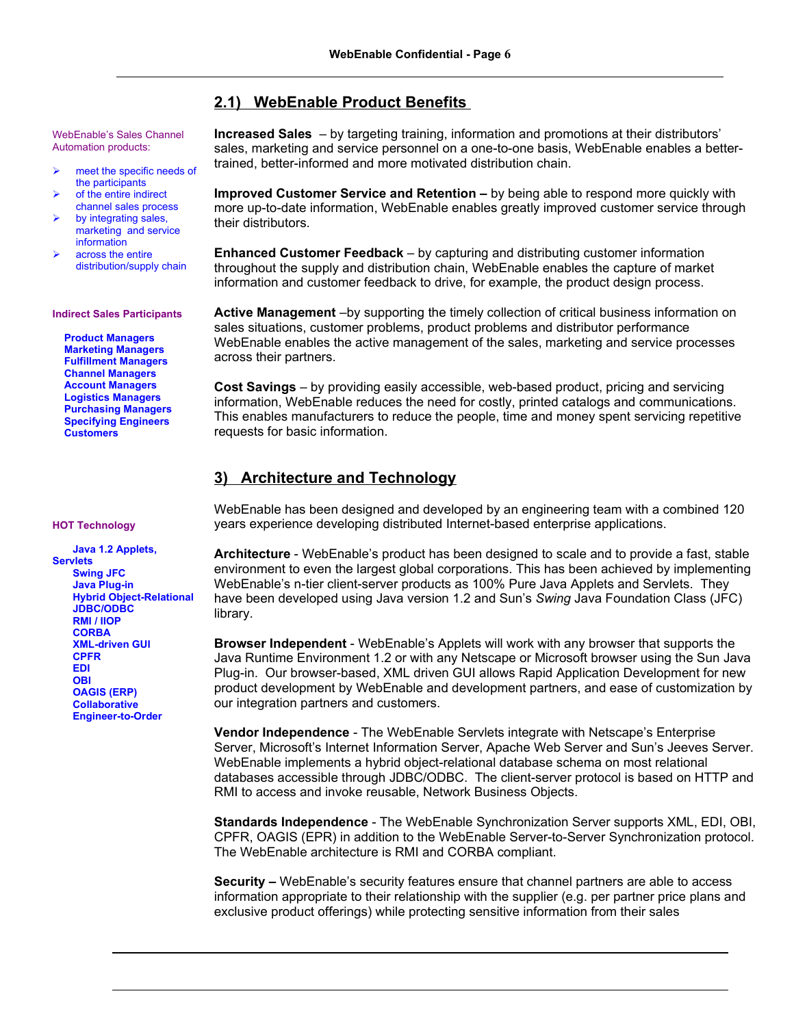# **2.1) WebEnable Product Benefits**

WebEnable's Sales Channel Automation products:

- $\triangleright$  meet the specific needs of the participants
- of the entire indirect channel sales process
- by integrating sales, marketing and service information
- across the entire distribution/supply chain

#### **Indirect Sales Participants**

**Product Managers Marketing Managers Fulfillment Managers Channel Managers Account Managers Logistics Managers Purchasing Managers Specifying Engineers Customers**

**HOT Technology**

**Java 1.2 Applets, Servlets Swing JFC Java Plug-in Hybrid Object-Relational JDBC/ODBC RMI / IIOP CORBA XML-driven GUI CPFR EDI OBI OAGIS (ERP) Collaborative Engineer-to-Order**

**Increased Sales** – by targeting training, information and promotions at their distributors' sales, marketing and service personnel on a one-to-one basis, WebEnable enables a bettertrained, better-informed and more motivated distribution chain.

**Improved Customer Service and Retention –** by being able to respond more quickly with more up-to-date information, WebEnable enables greatly improved customer service through their distributors.

**Enhanced Customer Feedback** – by capturing and distributing customer information throughout the supply and distribution chain, WebEnable enables the capture of market information and customer feedback to drive, for example, the product design process.

**Active Management** –by supporting the timely collection of critical business information on sales situations, customer problems, product problems and distributor performance WebEnable enables the active management of the sales, marketing and service processes across their partners.

**Cost Savings** – by providing easily accessible, web-based product, pricing and servicing information, WebEnable reduces the need for costly, printed catalogs and communications. This enables manufacturers to reduce the people, time and money spent servicing repetitive requests for basic information.

# **3) Architecture and Technology**

WebEnable has been designed and developed by an engineering team with a combined 120 years experience developing distributed Internet-based enterprise applications.

**Architecture** - WebEnable's product has been designed to scale and to provide a fast, stable environment to even the largest global corporations. This has been achieved by implementing WebEnable's n-tier client-server products as 100% Pure Java Applets and Servlets. They have been developed using Java version 1.2 and Sun's *Swing* Java Foundation Class (JFC) library.

**Browser Independent** - WebEnable's Applets will work with any browser that supports the Java Runtime Environment 1.2 or with any Netscape or Microsoft browser using the Sun Java Plug-in. Our browser-based, XML driven GUI allows Rapid Application Development for new product development by WebEnable and development partners, and ease of customization by our integration partners and customers.

**Vendor Independence** - The WebEnable Servlets integrate with Netscape's Enterprise Server, Microsoft's Internet Information Server, Apache Web Server and Sun's Jeeves Server. WebEnable implements a hybrid object-relational database schema on most relational databases accessible through JDBC/ODBC. The client-server protocol is based on HTTP and RMI to access and invoke reusable, Network Business Objects.

**Standards Independence** - The WebEnable Synchronization Server supports XML, EDI, OBI, CPFR, OAGIS (EPR) in addition to the WebEnable Server-to-Server Synchronization protocol. The WebEnable architecture is RMI and CORBA compliant.

**Security –** WebEnable's security features ensure that channel partners are able to access information appropriate to their relationship with the supplier (e.g. per partner price plans and exclusive product offerings) while protecting sensitive information from their sales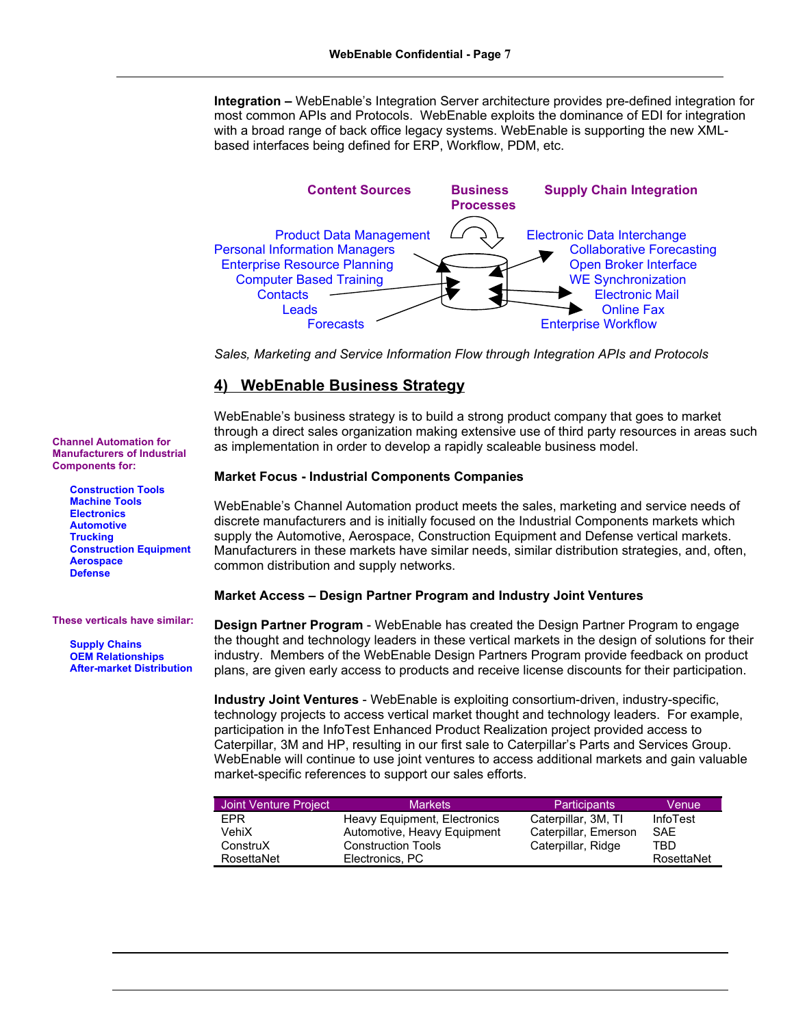**Integration –** WebEnable's Integration Server architecture provides pre-defined integration for most common APIs and Protocols. WebEnable exploits the dominance of EDI for integration with a broad range of back office legacy systems. WebEnable is supporting the new XMLbased interfaces being defined for ERP, Workflow, PDM, etc.



*Sales, Marketing and Service Information Flow through Integration APIs and Protocols*

## **4) WebEnable Business Strategy**

WebEnable's business strategy is to build a strong product company that goes to market through a direct sales organization making extensive use of third party resources in areas such as implementation in order to develop a rapidly scaleable business model.

#### **Market Focus - Industrial Components Companies**

WebEnable's Channel Automation product meets the sales, marketing and service needs of discrete manufacturers and is initially focused on the Industrial Components markets which supply the Automotive, Aerospace, Construction Equipment and Defense vertical markets. Manufacturers in these markets have similar needs, similar distribution strategies, and, often, common distribution and supply networks.

#### **Market Access – Design Partner Program and Industry Joint Ventures**

**Design Partner Program** - WebEnable has created the Design Partner Program to engage the thought and technology leaders in these vertical markets in the design of solutions for their industry. Members of the WebEnable Design Partners Program provide feedback on product plans, are given early access to products and receive license discounts for their participation.

**Industry Joint Ventures** - WebEnable is exploiting consortium-driven, industry-specific, technology projects to access vertical market thought and technology leaders. For example, participation in the InfoTest Enhanced Product Realization project provided access to Caterpillar, 3M and HP, resulting in our first sale to Caterpillar's Parts and Services Group. WebEnable will continue to use joint ventures to access additional markets and gain valuable market-specific references to support our sales efforts.

| Joint Venture Project | <b>Markets</b>               | <b>Participants</b>  | Venue           |
|-----------------------|------------------------------|----------------------|-----------------|
| <b>FPR</b>            | Heavy Equipment, Electronics | Caterpillar, 3M, TI  | <b>InfoTest</b> |
| VehiX                 | Automotive, Heavy Equipment  | Caterpillar, Emerson | SAF             |
| ConstruX              | <b>Construction Tools</b>    | Caterpillar, Ridge   | TRD             |
| RosettaNet            | Electronics, PC              |                      | RosettaNet      |

**Construction Tools Machine Tools Electronics Automotive Trucking Construction Equipment Aerospace Defense**

**Channel Automation for Manufacturers of Industrial**

**Components for:**

#### **These verticals have similar:**

**Supply Chains OEM Relationships After-market Distribution**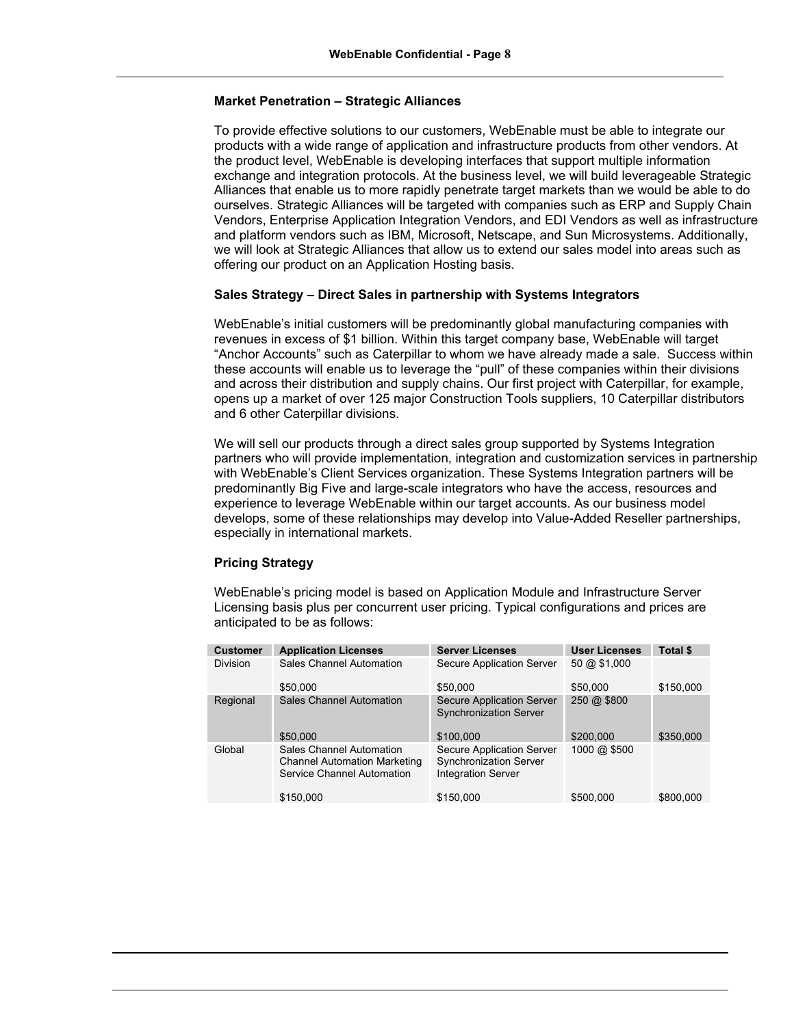#### **Market Penetration – Strategic Alliances**

To provide effective solutions to our customers, WebEnable must be able to integrate our products with a wide range of application and infrastructure products from other vendors. At the product level, WebEnable is developing interfaces that support multiple information exchange and integration protocols. At the business level, we will build leverageable Strategic Alliances that enable us to more rapidly penetrate target markets than we would be able to do ourselves. Strategic Alliances will be targeted with companies such as ERP and Supply Chain Vendors, Enterprise Application Integration Vendors, and EDI Vendors as well as infrastructure and platform vendors such as IBM, Microsoft, Netscape, and Sun Microsystems. Additionally, we will look at Strategic Alliances that allow us to extend our sales model into areas such as offering our product on an Application Hosting basis.

#### **Sales Strategy – Direct Sales in partnership with Systems Integrators**

WebEnable's initial customers will be predominantly global manufacturing companies with revenues in excess of \$1 billion. Within this target company base, WebEnable will target "Anchor Accounts" such as Caterpillar to whom we have already made a sale. Success within these accounts will enable us to leverage the "pull" of these companies within their divisions and across their distribution and supply chains. Our first project with Caterpillar, for example, opens up a market of over 125 major Construction Tools suppliers, 10 Caterpillar distributors and 6 other Caterpillar divisions.

We will sell our products through a direct sales group supported by Systems Integration partners who will provide implementation, integration and customization services in partnership with WebEnable's Client Services organization. These Systems Integration partners will be predominantly Big Five and large-scale integrators who have the access, resources and experience to leverage WebEnable within our target accounts. As our business model develops, some of these relationships may develop into Value-Added Reseller partnerships, especially in international markets.

#### **Pricing Strategy**

WebEnable's pricing model is based on Application Module and Infrastructure Server Licensing basis plus per concurrent user pricing. Typical configurations and prices are anticipated to be as follows:

| <b>Customer</b> | <b>Application Licenses</b>                                                                   | <b>Server Licenses</b>                                                                  | <b>User Licenses</b>   | Total \$  |
|-----------------|-----------------------------------------------------------------------------------------------|-----------------------------------------------------------------------------------------|------------------------|-----------|
| <b>Division</b> | Sales Channel Automation                                                                      | Secure Application Server                                                               | $50 \text{ @ } $1,000$ |           |
|                 | \$50,000                                                                                      | \$50,000                                                                                | \$50,000               | \$150,000 |
| Regional        | Sales Channel Automation                                                                      | Secure Application Server<br><b>Synchronization Server</b>                              | 250 @ \$800            |           |
|                 | \$50,000                                                                                      | \$100,000                                                                               | \$200,000              | \$350,000 |
| Global          | Sales Channel Automation<br><b>Channel Automation Marketing</b><br>Service Channel Automation | Secure Application Server<br><b>Synchronization Server</b><br><b>Integration Server</b> | 1000 @ \$500           |           |
|                 | \$150,000                                                                                     | \$150,000                                                                               | \$500,000              | \$800,000 |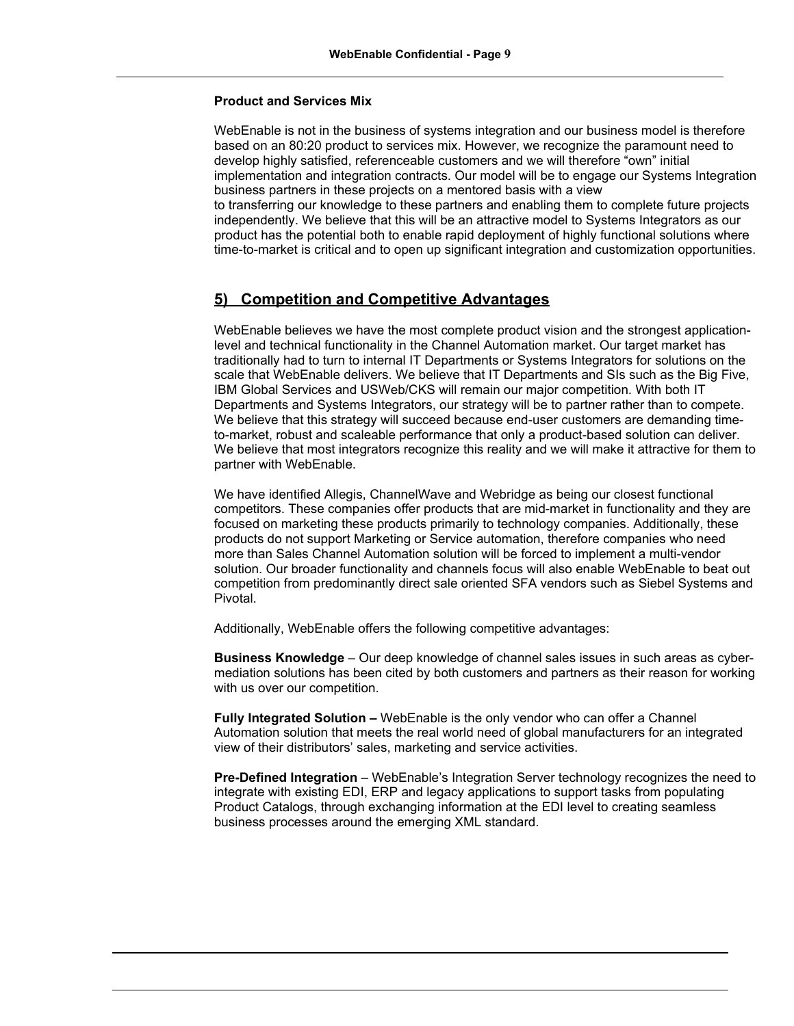### **Product and Services Mix**

WebEnable is not in the business of systems integration and our business model is therefore based on an 80:20 product to services mix. However, we recognize the paramount need to develop highly satisfied, referenceable customers and we will therefore "own" initial implementation and integration contracts. Our model will be to engage our Systems Integration business partners in these projects on a mentored basis with a view to transferring our knowledge to these partners and enabling them to complete future projects independently. We believe that this will be an attractive model to Systems Integrators as our product has the potential both to enable rapid deployment of highly functional solutions where time-to-market is critical and to open up significant integration and customization opportunities.

# **5) Competition and Competitive Advantages**

WebEnable believes we have the most complete product vision and the strongest applicationlevel and technical functionality in the Channel Automation market. Our target market has traditionally had to turn to internal IT Departments or Systems Integrators for solutions on the scale that WebEnable delivers. We believe that IT Departments and SIs such as the Big Five, IBM Global Services and USWeb/CKS will remain our major competition. With both IT Departments and Systems Integrators, our strategy will be to partner rather than to compete. We believe that this strategy will succeed because end-user customers are demanding timeto-market, robust and scaleable performance that only a product-based solution can deliver. We believe that most integrators recognize this reality and we will make it attractive for them to partner with WebEnable.

We have identified Allegis, ChannelWave and Webridge as being our closest functional competitors. These companies offer products that are mid-market in functionality and they are focused on marketing these products primarily to technology companies. Additionally, these products do not support Marketing or Service automation, therefore companies who need more than Sales Channel Automation solution will be forced to implement a multi-vendor solution. Our broader functionality and channels focus will also enable WebEnable to beat out competition from predominantly direct sale oriented SFA vendors such as Siebel Systems and Pivotal.

Additionally, WebEnable offers the following competitive advantages:

**Business Knowledge** – Our deep knowledge of channel sales issues in such areas as cybermediation solutions has been cited by both customers and partners as their reason for working with us over our competition.

**Fully Integrated Solution –** WebEnable is the only vendor who can offer a Channel Automation solution that meets the real world need of global manufacturers for an integrated view of their distributors' sales, marketing and service activities.

**Pre-Defined Integration** – WebEnable's Integration Server technology recognizes the need to integrate with existing EDI, ERP and legacy applications to support tasks from populating Product Catalogs, through exchanging information at the EDI level to creating seamless business processes around the emerging XML standard.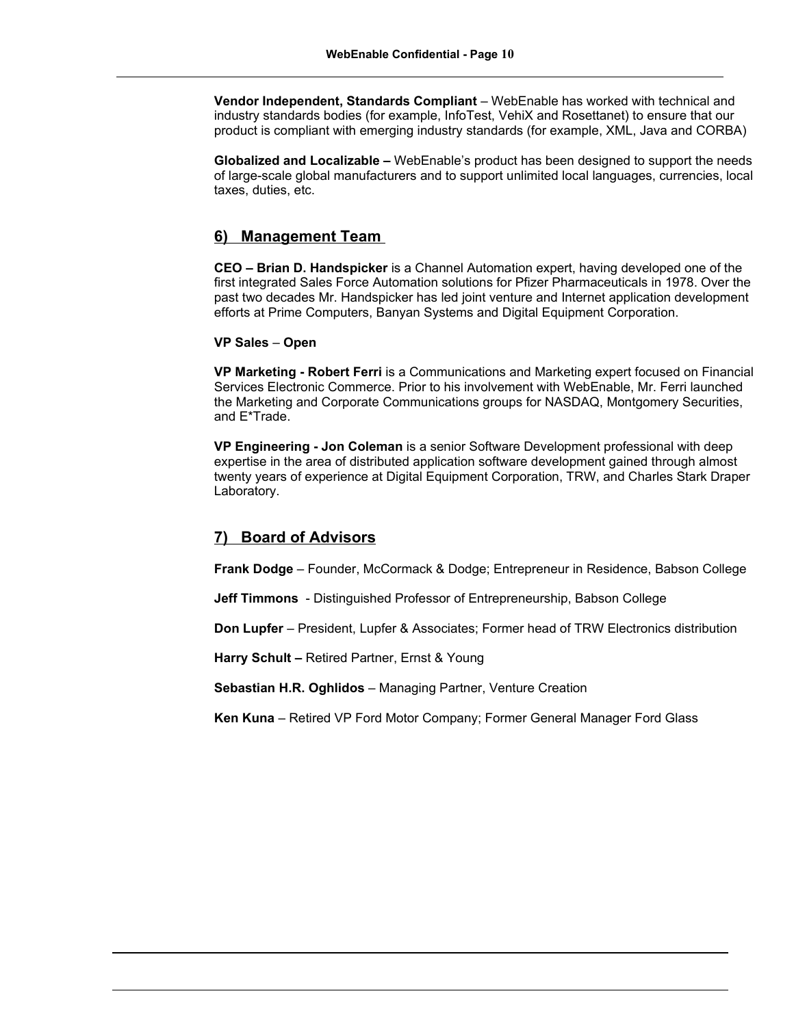**Vendor Independent, Standards Compliant** – WebEnable has worked with technical and industry standards bodies (for example, InfoTest, VehiX and Rosettanet) to ensure that our product is compliant with emerging industry standards (for example, XML, Java and CORBA)

**Globalized and Localizable –** WebEnable's product has been designed to support the needs of large-scale global manufacturers and to support unlimited local languages, currencies, local taxes, duties, etc.

## **6) Management Team**

**CEO – Brian D. Handspicker** is a Channel Automation expert, having developed one of the first integrated Sales Force Automation solutions for Pfizer Pharmaceuticals in 1978. Over the past two decades Mr. Handspicker has led joint venture and Internet application development efforts at Prime Computers, Banyan Systems and Digital Equipment Corporation.

#### **VP Sales** – **Open**

**VP Marketing - Robert Ferri** is a Communications and Marketing expert focused on Financial Services Electronic Commerce. Prior to his involvement with WebEnable, Mr. Ferri launched the Marketing and Corporate Communications groups for NASDAQ, Montgomery Securities, and E\*Trade.

**VP Engineering - Jon Coleman** is a senior Software Development professional with deep expertise in the area of distributed application software development gained through almost twenty years of experience at Digital Equipment Corporation, TRW, and Charles Stark Draper Laboratory.

# **7) Board of Advisors**

**Frank Dodge** – Founder, McCormack & Dodge; Entrepreneur in Residence, Babson College

**Jeff Timmons** - Distinguished Professor of Entrepreneurship, Babson College

**Don Lupfer** – President, Lupfer & Associates; Former head of TRW Electronics distribution

**Harry Schult –** Retired Partner, Ernst & Young

**Sebastian H.R. Oghlidos** – Managing Partner, Venture Creation

**Ken Kuna** – Retired VP Ford Motor Company; Former General Manager Ford Glass